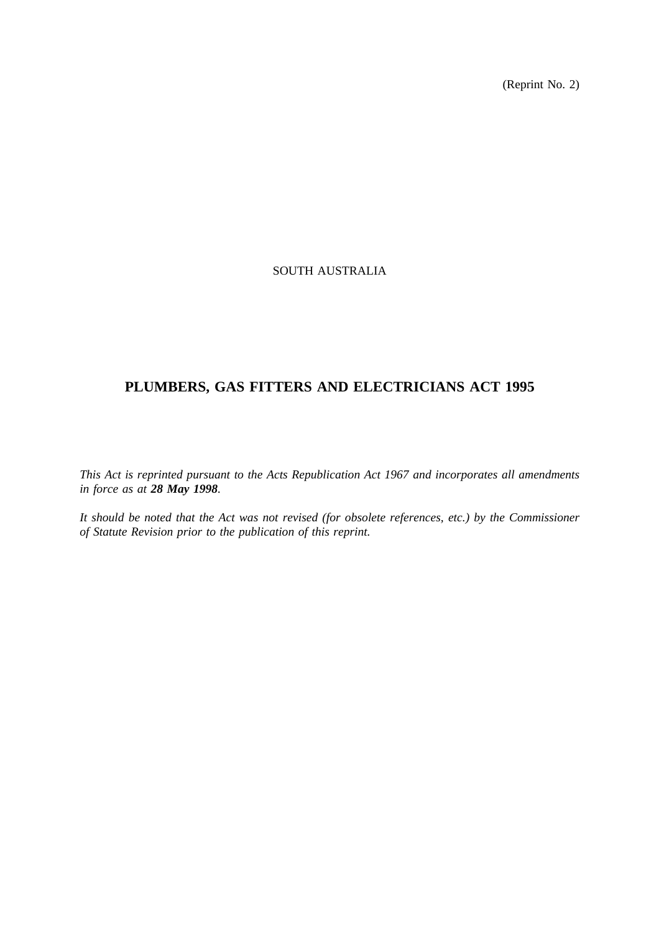(Reprint No. 2)

# SOUTH AUSTRALIA

# **PLUMBERS, GAS FITTERS AND ELECTRICIANS ACT 1995**

*This Act is reprinted pursuant to the Acts Republication Act 1967 and incorporates all amendments in force as at 28 May 1998.*

*It should be noted that the Act was not revised (for obsolete references, etc.) by the Commissioner of Statute Revision prior to the publication of this reprint.*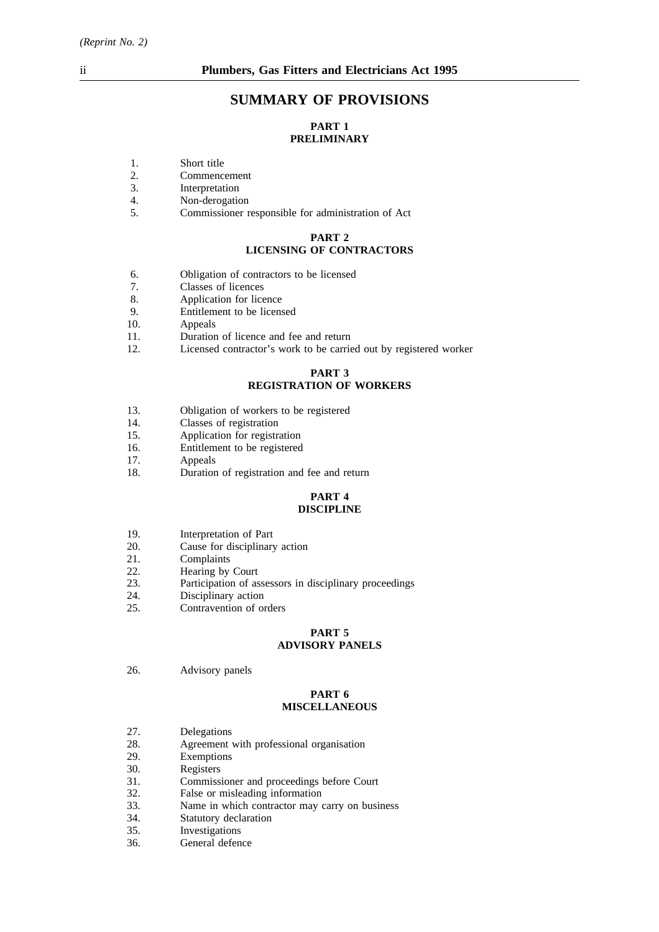# **SUMMARY OF PROVISIONS**

# **PART 1 PRELIMINARY**

- 1. Short title<br>2. Commence
- 2. Commencement<br>3. Interpretation
- 3. Interpretation<br>4. Non-derogation
- Non-derogation
- 5. Commissioner responsible for administration of Act

#### **PART 2 LICENSING OF CONTRACTORS**

- 6. Obligation of contractors to be licensed
- 7. Classes of licences<br>8. Application for lice
- Application for licence
- 9. Entitlement to be licensed
- 10. Appeals
- 11. Duration of licence and fee and return
- 12. Licensed contractor's work to be carried out by registered worker

### **PART 3 REGISTRATION OF WORKERS**

- 13. Obligation of workers to be registered
- 14. Classes of registration
- 15. Application for registration
- 16. Entitlement to be registered
- 17. Appeals
- 18. Duration of registration and fee and return

#### **PART 4 DISCIPLINE**

- 19. Interpretation of Part
- 20. Cause for disciplinary action
- 21. Complaints
- 22. Hearing by Court<br>23. Participation of as
- Participation of assessors in disciplinary proceedings
- 24. Disciplinary action
- 25. Contravention of orders

# **PART 5**

# **ADVISORY PANELS**

26. Advisory panels

## **PART 6 MISCELLANEOUS**

- 27. Delegations
- 28. Agreement with professional organisation<br>29. Exemptions
- Exemptions
- 30. Registers
- 31. Commissioner and proceedings before Court<br>32. False or misleading information
- 32. False or misleading information<br>33. Name in which contractor may
- 33. Name in which contractor may carry on business 34. Statutory declaration
- 34. Statutory declaration<br>35. Investigations
- 35. Investigations<br>36. General defen
- General defence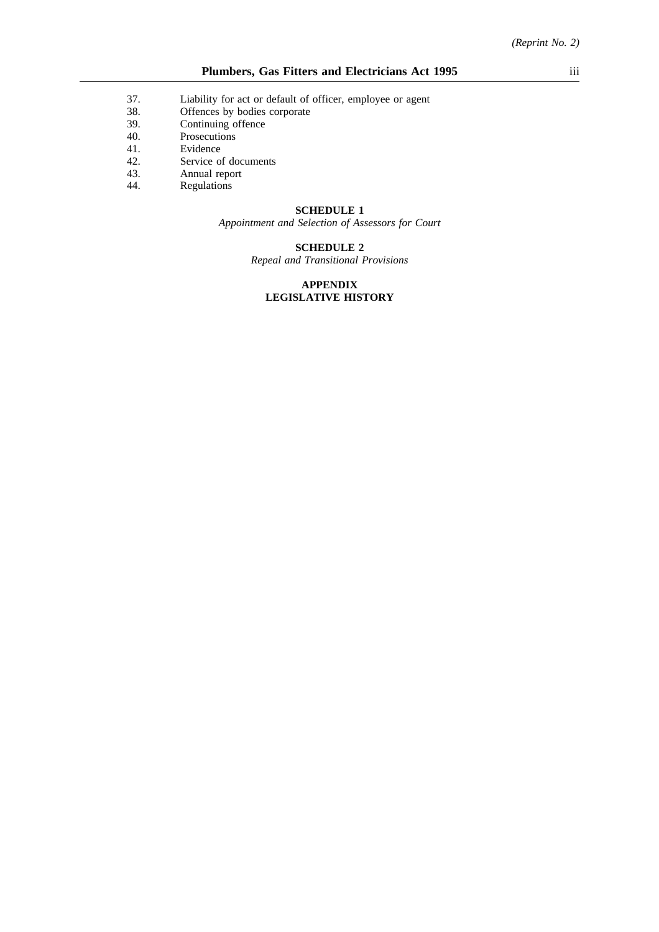- 37. Liability for act or default of officer, employee or agent 38. Offences by bodies corporate
- Offences by bodies corporate
- 39. Continuing offence
- 40. Prosecutions
- 41. Evidence
- 42. Service of documents
- 43. Annual report
- 44. Regulations

#### **SCHEDULE 1**

*Appointment and Selection of Assessors for Court*

# **SCHEDULE 2**

*Repeal and Transitional Provisions*

### **APPENDIX LEGISLATIVE HISTORY**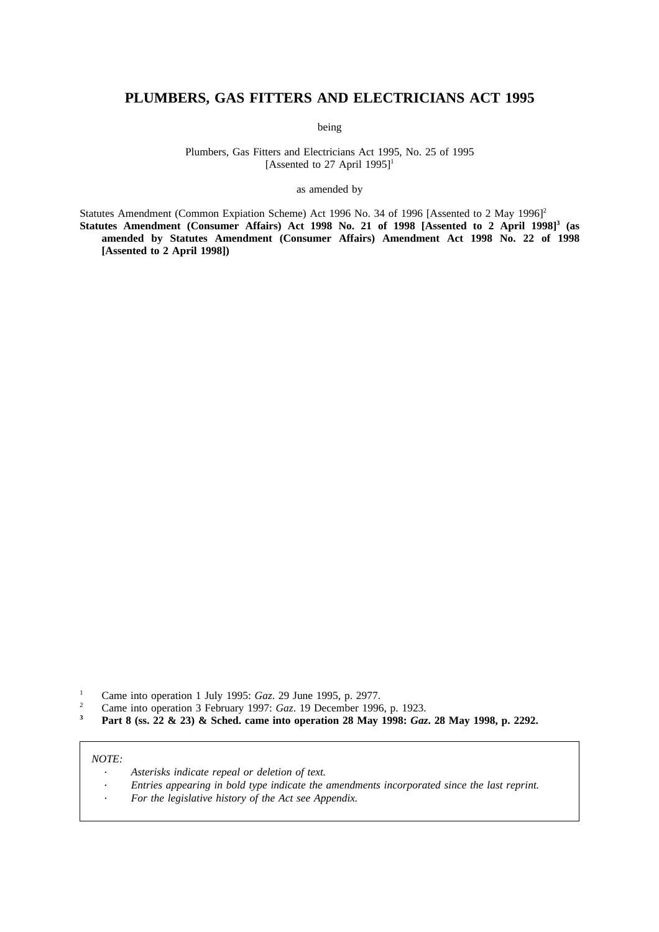# **PLUMBERS, GAS FITTERS AND ELECTRICIANS ACT 1995**

being

Plumbers, Gas Fitters and Electricians Act 1995, No. 25 of 1995 [Assented to 27 April 1995]<sup>1</sup>

as amended by

Statutes Amendment (Common Expiation Scheme) Act 1996 No. 34 of 1996 [Assented to 2 May 1996]<sup>2</sup> **Statutes Amendment (Consumer Affairs) Act 1998 No. 21 of 1998 [Assented to 2 April 1998]3 (as amended by Statutes Amendment (Consumer Affairs) Amendment Act 1998 No. 22 of 1998 [Assented to 2 April 1998])**

- <sup>1</sup> Came into operation 1 July 1995: *Gaz.* 29 June 1995, p. 2977.
- <sup>2</sup> Came into operation 3 February 1997: *Gaz*. 19 December 1996, p. 1923.<br>**20 Don't 8** (ss. 22, 8: 23) 8: Sebed, come into operation 28 Mov 1998: *Gaz*
- **<sup>3</sup> Part 8 (ss. 22 & 23) & Sched. came into operation 28 May 1998:** *Gaz***. 28 May 1998, p. 2292.**

#### *NOTE:*

- *Asterisks indicate repeal or deletion of text.*
- *Entries appearing in bold type indicate the amendments incorporated since the last reprint.*
- *For the legislative history of the Act see Appendix.*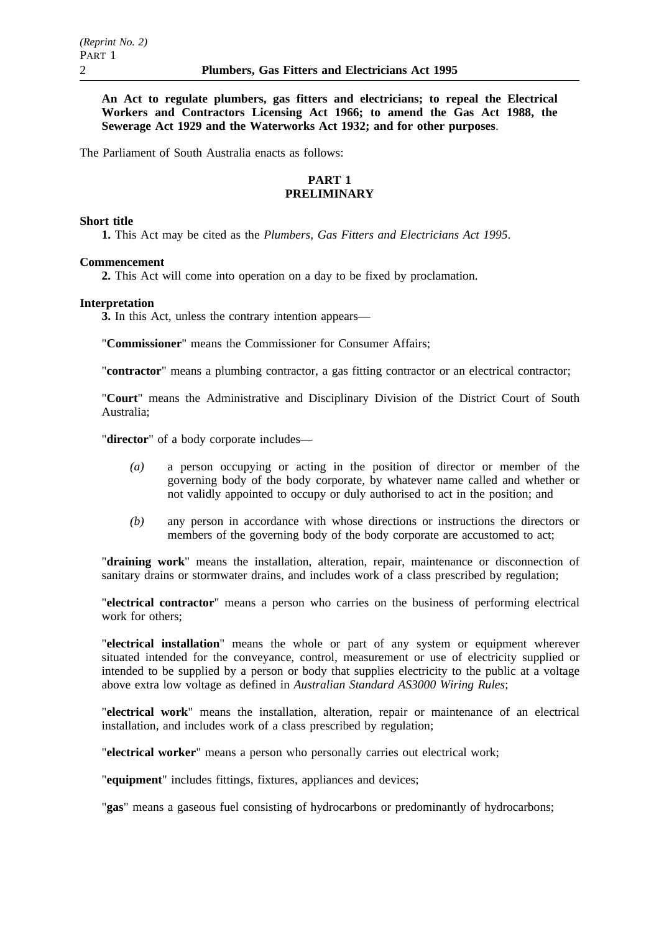**An Act to regulate plumbers, gas fitters and electricians; to repeal the Electrical Workers and Contractors Licensing Act 1966; to amend the Gas Act 1988, the Sewerage Act 1929 and the Waterworks Act 1932; and for other purposes**.

The Parliament of South Australia enacts as follows:

# **PART 1 PRELIMINARY**

#### **Short title**

**1.** This Act may be cited as the *Plumbers, Gas Fitters and Electricians Act 1995*.

# **Commencement**

**2.** This Act will come into operation on a day to be fixed by proclamation.

#### **Interpretation**

**3.** In this Act, unless the contrary intention appears—

"**Commissioner**" means the Commissioner for Consumer Affairs;

"**contractor**" means a plumbing contractor, a gas fitting contractor or an electrical contractor;

"**Court**" means the Administrative and Disciplinary Division of the District Court of South Australia;

"**director**" of a body corporate includes—

- *(a)* a person occupying or acting in the position of director or member of the governing body of the body corporate, by whatever name called and whether or not validly appointed to occupy or duly authorised to act in the position; and
- *(b)* any person in accordance with whose directions or instructions the directors or members of the governing body of the body corporate are accustomed to act;

"**draining work**" means the installation, alteration, repair, maintenance or disconnection of sanitary drains or stormwater drains, and includes work of a class prescribed by regulation;

"**electrical contractor**" means a person who carries on the business of performing electrical work for others;

"**electrical installation**" means the whole or part of any system or equipment wherever situated intended for the conveyance, control, measurement or use of electricity supplied or intended to be supplied by a person or body that supplies electricity to the public at a voltage above extra low voltage as defined in *Australian Standard AS3000 Wiring Rules*;

"**electrical work**" means the installation, alteration, repair or maintenance of an electrical installation, and includes work of a class prescribed by regulation;

"**electrical worker**" means a person who personally carries out electrical work;

"**equipment**" includes fittings, fixtures, appliances and devices;

"**gas**" means a gaseous fuel consisting of hydrocarbons or predominantly of hydrocarbons;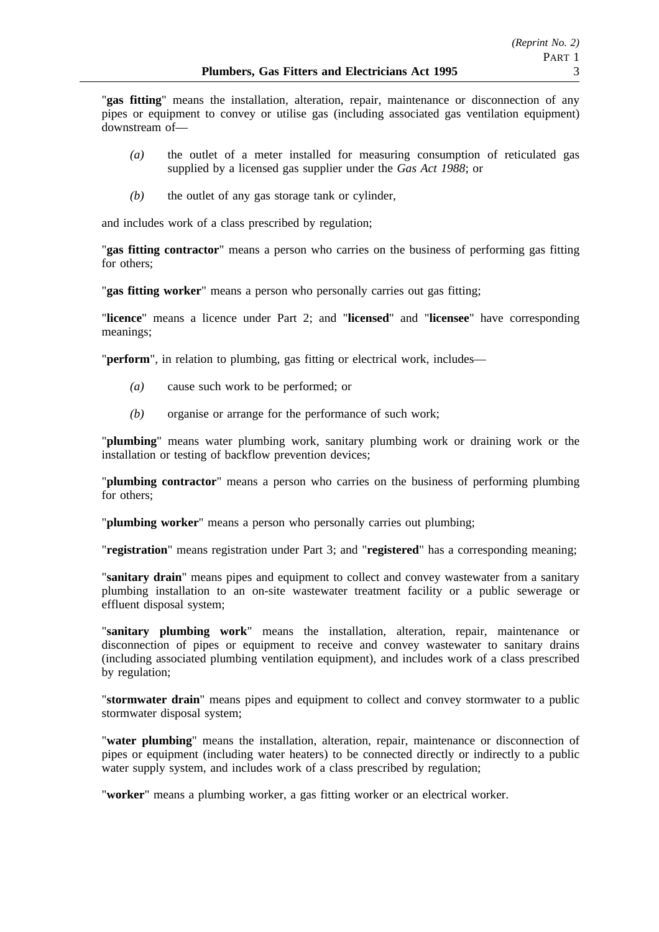"**gas fitting**" means the installation, alteration, repair, maintenance or disconnection of any pipes or equipment to convey or utilise gas (including associated gas ventilation equipment) downstream of—

- *(a)* the outlet of a meter installed for measuring consumption of reticulated gas supplied by a licensed gas supplier under the *Gas Act 1988*; or
- *(b)* the outlet of any gas storage tank or cylinder,

and includes work of a class prescribed by regulation;

"**gas fitting contractor**" means a person who carries on the business of performing gas fitting for others;

"**gas fitting worker**" means a person who personally carries out gas fitting;

"**licence**" means a licence under Part 2; and "**licensed**" and "**licensee**" have corresponding meanings;

"**perform**", in relation to plumbing, gas fitting or electrical work, includes—

- *(a)* cause such work to be performed; or
- *(b)* organise or arrange for the performance of such work;

"**plumbing**" means water plumbing work, sanitary plumbing work or draining work or the installation or testing of backflow prevention devices;

"**plumbing contractor**" means a person who carries on the business of performing plumbing for others;

"**plumbing worker**" means a person who personally carries out plumbing;

"**registration**" means registration under Part 3; and "**registered**" has a corresponding meaning;

"**sanitary drain**" means pipes and equipment to collect and convey wastewater from a sanitary plumbing installation to an on-site wastewater treatment facility or a public sewerage or effluent disposal system;

"**sanitary plumbing work**" means the installation, alteration, repair, maintenance or disconnection of pipes or equipment to receive and convey wastewater to sanitary drains (including associated plumbing ventilation equipment), and includes work of a class prescribed by regulation;

"**stormwater drain**" means pipes and equipment to collect and convey stormwater to a public stormwater disposal system;

"**water plumbing**" means the installation, alteration, repair, maintenance or disconnection of pipes or equipment (including water heaters) to be connected directly or indirectly to a public water supply system, and includes work of a class prescribed by regulation;

"**worker**" means a plumbing worker, a gas fitting worker or an electrical worker.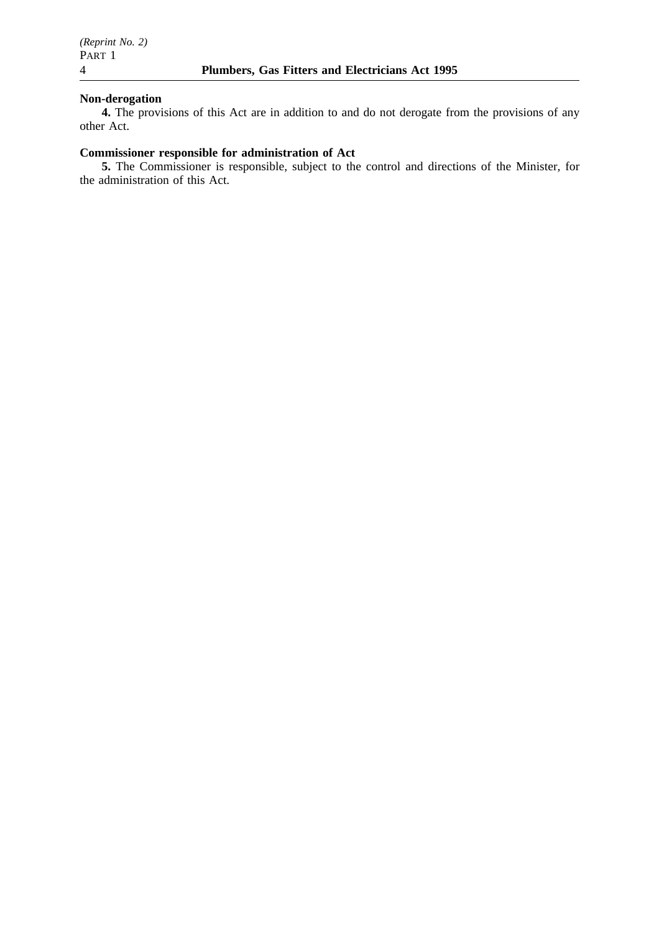## **Non-derogation**

**4.** The provisions of this Act are in addition to and do not derogate from the provisions of any other Act.

# **Commissioner responsible for administration of Act**

**5.** The Commissioner is responsible, subject to the control and directions of the Minister, for the administration of this Act.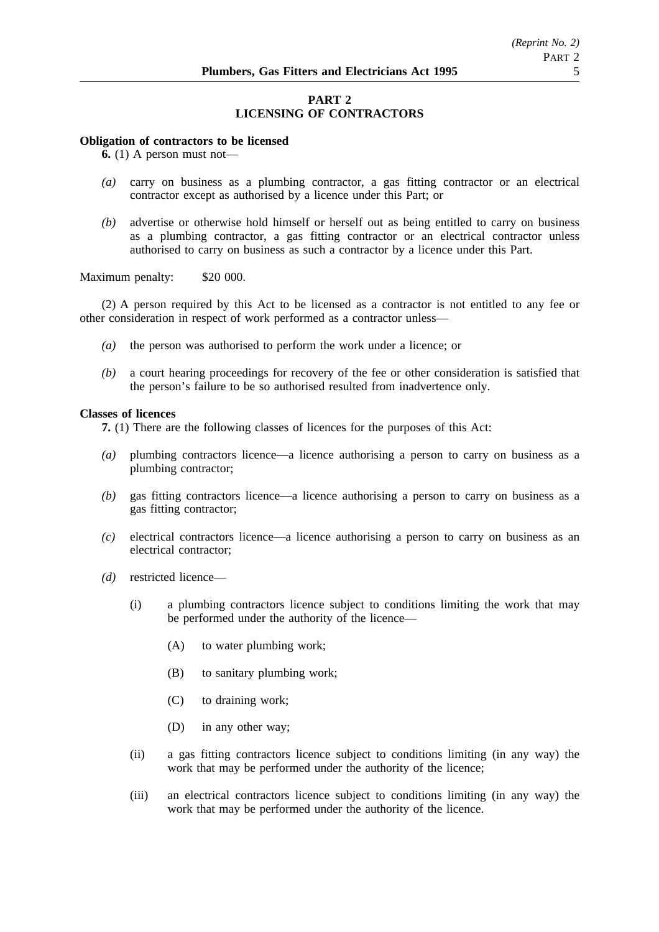# **PART 2 LICENSING OF CONTRACTORS**

#### **Obligation of contractors to be licensed**

**6.** (1) A person must not—

- *(a)* carry on business as a plumbing contractor, a gas fitting contractor or an electrical contractor except as authorised by a licence under this Part; or
- *(b)* advertise or otherwise hold himself or herself out as being entitled to carry on business as a plumbing contractor, a gas fitting contractor or an electrical contractor unless authorised to carry on business as such a contractor by a licence under this Part.

Maximum penalty: \$20 000.

(2) A person required by this Act to be licensed as a contractor is not entitled to any fee or other consideration in respect of work performed as a contractor unless—

- *(a)* the person was authorised to perform the work under a licence; or
- *(b)* a court hearing proceedings for recovery of the fee or other consideration is satisfied that the person's failure to be so authorised resulted from inadvertence only.

#### **Classes of licences**

**7.** (1) There are the following classes of licences for the purposes of this Act:

- *(a)* plumbing contractors licence—a licence authorising a person to carry on business as a plumbing contractor;
- *(b)* gas fitting contractors licence—a licence authorising a person to carry on business as a gas fitting contractor;
- *(c)* electrical contractors licence—a licence authorising a person to carry on business as an electrical contractor;
- *(d)* restricted licence—
	- (i) a plumbing contractors licence subject to conditions limiting the work that may be performed under the authority of the licence—
		- (A) to water plumbing work;
		- (B) to sanitary plumbing work;
		- (C) to draining work;
		- (D) in any other way;
	- (ii) a gas fitting contractors licence subject to conditions limiting (in any way) the work that may be performed under the authority of the licence;
	- (iii) an electrical contractors licence subject to conditions limiting (in any way) the work that may be performed under the authority of the licence.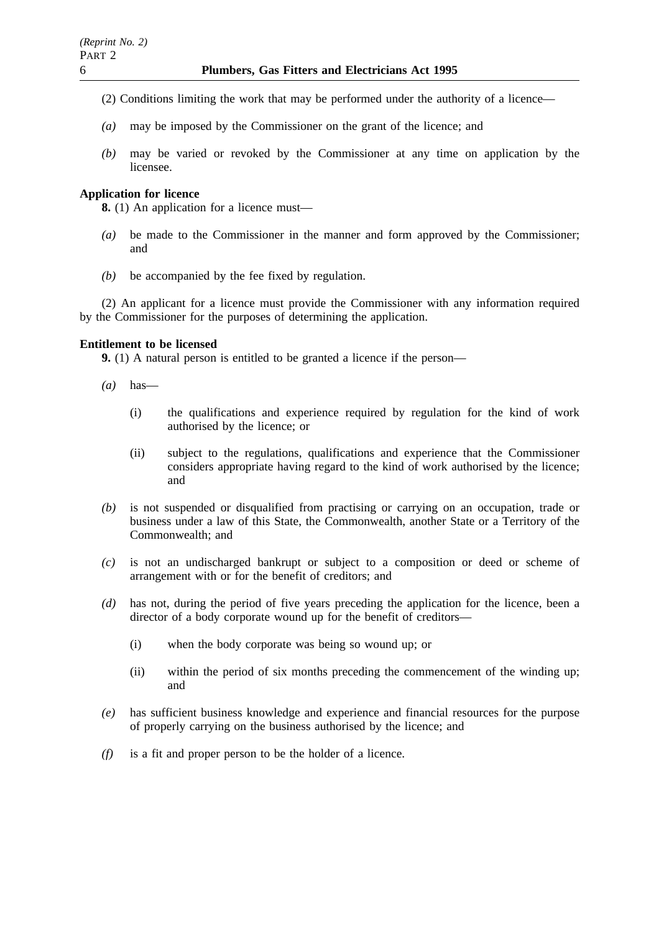- (2) Conditions limiting the work that may be performed under the authority of a licence—
- *(a)* may be imposed by the Commissioner on the grant of the licence; and
- *(b)* may be varied or revoked by the Commissioner at any time on application by the licensee.

# **Application for licence**

**8.** (1) An application for a licence must—

- *(a)* be made to the Commissioner in the manner and form approved by the Commissioner; and
- *(b)* be accompanied by the fee fixed by regulation.

(2) An applicant for a licence must provide the Commissioner with any information required by the Commissioner for the purposes of determining the application.

# **Entitlement to be licensed**

**9.** (1) A natural person is entitled to be granted a licence if the person—

- *(a)* has—
	- (i) the qualifications and experience required by regulation for the kind of work authorised by the licence; or
	- (ii) subject to the regulations, qualifications and experience that the Commissioner considers appropriate having regard to the kind of work authorised by the licence; and
- *(b)* is not suspended or disqualified from practising or carrying on an occupation, trade or business under a law of this State, the Commonwealth, another State or a Territory of the Commonwealth; and
- *(c)* is not an undischarged bankrupt or subject to a composition or deed or scheme of arrangement with or for the benefit of creditors; and
- *(d)* has not, during the period of five years preceding the application for the licence, been a director of a body corporate wound up for the benefit of creditors—
	- (i) when the body corporate was being so wound up; or
	- (ii) within the period of six months preceding the commencement of the winding up; and
- *(e)* has sufficient business knowledge and experience and financial resources for the purpose of properly carrying on the business authorised by the licence; and
- *(f)* is a fit and proper person to be the holder of a licence.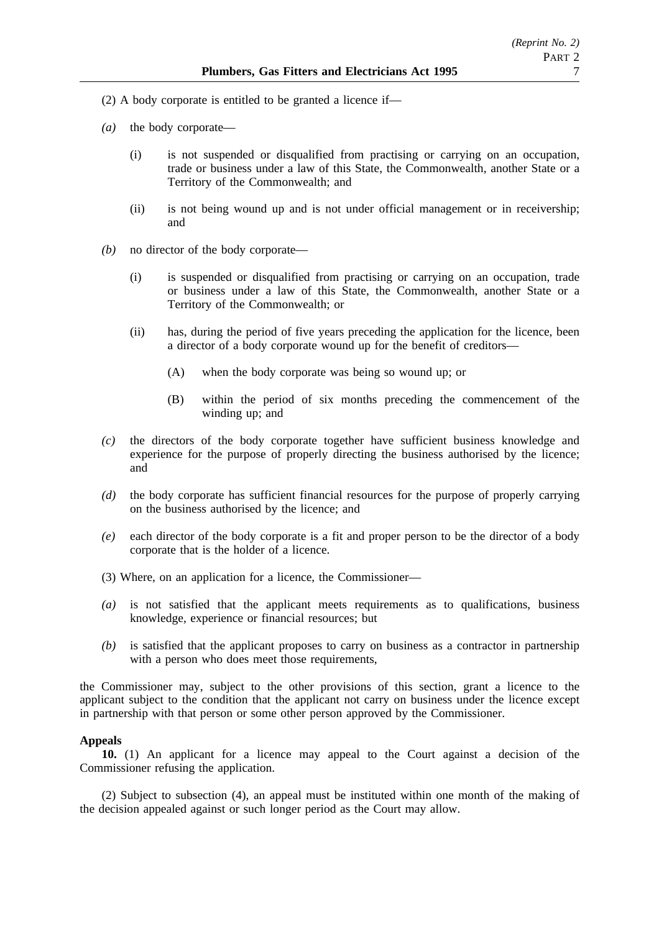- (2) A body corporate is entitled to be granted a licence if—
- *(a)* the body corporate—
	- (i) is not suspended or disqualified from practising or carrying on an occupation, trade or business under a law of this State, the Commonwealth, another State or a Territory of the Commonwealth; and
	- (ii) is not being wound up and is not under official management or in receivership; and
- *(b)* no director of the body corporate—
	- (i) is suspended or disqualified from practising or carrying on an occupation, trade or business under a law of this State, the Commonwealth, another State or a Territory of the Commonwealth; or
	- (ii) has, during the period of five years preceding the application for the licence, been a director of a body corporate wound up for the benefit of creditors—
		- (A) when the body corporate was being so wound up; or
		- (B) within the period of six months preceding the commencement of the winding up; and
- *(c)* the directors of the body corporate together have sufficient business knowledge and experience for the purpose of properly directing the business authorised by the licence; and
- *(d)* the body corporate has sufficient financial resources for the purpose of properly carrying on the business authorised by the licence; and
- *(e)* each director of the body corporate is a fit and proper person to be the director of a body corporate that is the holder of a licence.
- (3) Where, on an application for a licence, the Commissioner—
- *(a)* is not satisfied that the applicant meets requirements as to qualifications, business knowledge, experience or financial resources; but
- *(b)* is satisfied that the applicant proposes to carry on business as a contractor in partnership with a person who does meet those requirements,

the Commissioner may, subject to the other provisions of this section, grant a licence to the applicant subject to the condition that the applicant not carry on business under the licence except in partnership with that person or some other person approved by the Commissioner.

# **Appeals**

**10.** (1) An applicant for a licence may appeal to the Court against a decision of the Commissioner refusing the application.

(2) Subject to subsection (4), an appeal must be instituted within one month of the making of the decision appealed against or such longer period as the Court may allow.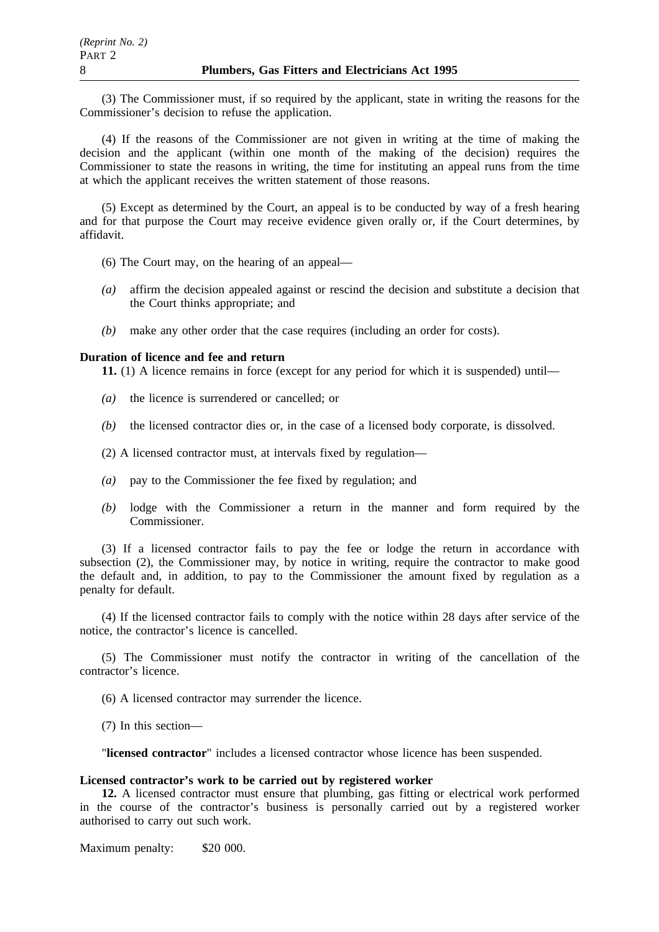(3) The Commissioner must, if so required by the applicant, state in writing the reasons for the Commissioner's decision to refuse the application.

(4) If the reasons of the Commissioner are not given in writing at the time of making the decision and the applicant (within one month of the making of the decision) requires the Commissioner to state the reasons in writing, the time for instituting an appeal runs from the time at which the applicant receives the written statement of those reasons.

(5) Except as determined by the Court, an appeal is to be conducted by way of a fresh hearing and for that purpose the Court may receive evidence given orally or, if the Court determines, by affidavit.

- (6) The Court may, on the hearing of an appeal—
- *(a)* affirm the decision appealed against or rescind the decision and substitute a decision that the Court thinks appropriate; and
- *(b)* make any other order that the case requires (including an order for costs).

### **Duration of licence and fee and return**

**11.** (1) A licence remains in force (except for any period for which it is suspended) until—

- *(a)* the licence is surrendered or cancelled; or
- *(b)* the licensed contractor dies or, in the case of a licensed body corporate, is dissolved.
- (2) A licensed contractor must, at intervals fixed by regulation—
- *(a)* pay to the Commissioner the fee fixed by regulation; and
- *(b)* lodge with the Commissioner a return in the manner and form required by the Commissioner.

(3) If a licensed contractor fails to pay the fee or lodge the return in accordance with subsection (2), the Commissioner may, by notice in writing, require the contractor to make good the default and, in addition, to pay to the Commissioner the amount fixed by regulation as a penalty for default.

(4) If the licensed contractor fails to comply with the notice within 28 days after service of the notice, the contractor's licence is cancelled.

(5) The Commissioner must notify the contractor in writing of the cancellation of the contractor's licence.

(6) A licensed contractor may surrender the licence.

(7) In this section—

"**licensed contractor**" includes a licensed contractor whose licence has been suspended.

#### **Licensed contractor's work to be carried out by registered worker**

**12.** A licensed contractor must ensure that plumbing, gas fitting or electrical work performed in the course of the contractor's business is personally carried out by a registered worker authorised to carry out such work.

Maximum penalty: \$20 000.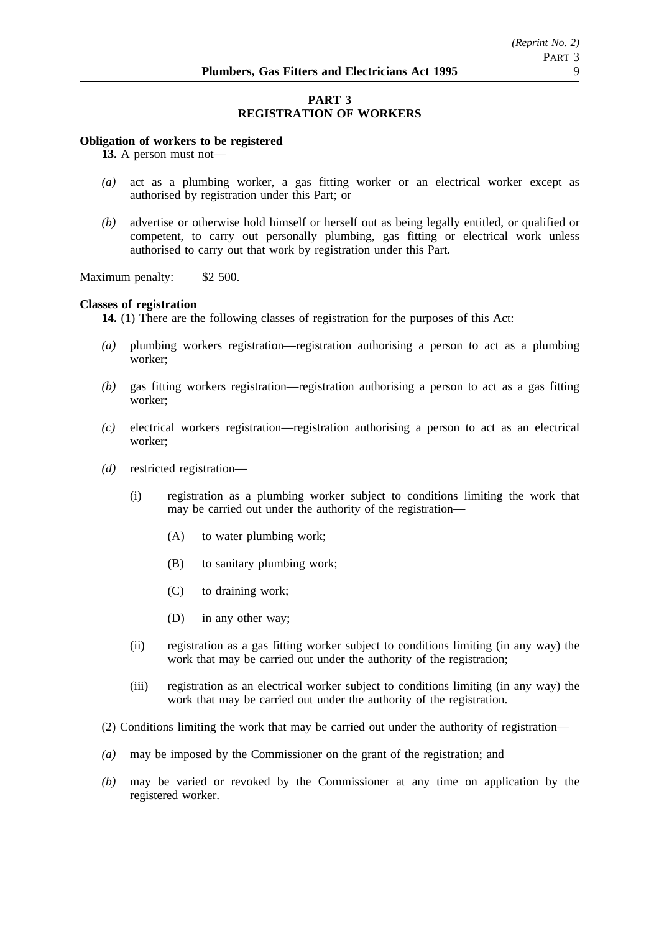# **PART 3 REGISTRATION OF WORKERS**

### **Obligation of workers to be registered**

**13.** A person must not—

- *(a)* act as a plumbing worker, a gas fitting worker or an electrical worker except as authorised by registration under this Part; or
- *(b)* advertise or otherwise hold himself or herself out as being legally entitled, or qualified or competent, to carry out personally plumbing, gas fitting or electrical work unless authorised to carry out that work by registration under this Part.

Maximum penalty: \$2 500.

#### **Classes of registration**

**14.** (1) There are the following classes of registration for the purposes of this Act:

- *(a)* plumbing workers registration—registration authorising a person to act as a plumbing worker;
- *(b)* gas fitting workers registration—registration authorising a person to act as a gas fitting worker;
- *(c)* electrical workers registration—registration authorising a person to act as an electrical worker;
- *(d)* restricted registration—
	- (i) registration as a plumbing worker subject to conditions limiting the work that may be carried out under the authority of the registration—
		- (A) to water plumbing work;
		- (B) to sanitary plumbing work;
		- (C) to draining work;
		- (D) in any other way;
	- (ii) registration as a gas fitting worker subject to conditions limiting (in any way) the work that may be carried out under the authority of the registration;
	- (iii) registration as an electrical worker subject to conditions limiting (in any way) the work that may be carried out under the authority of the registration.
- (2) Conditions limiting the work that may be carried out under the authority of registration—
- *(a)* may be imposed by the Commissioner on the grant of the registration; and
- *(b)* may be varied or revoked by the Commissioner at any time on application by the registered worker.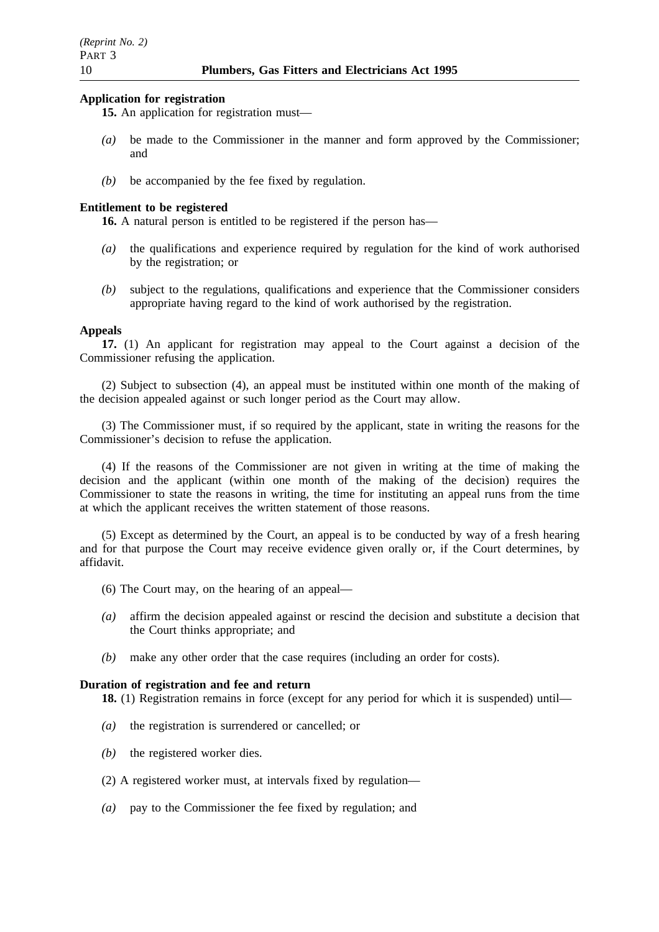#### **Application for registration**

- **15.** An application for registration must—
- *(a)* be made to the Commissioner in the manner and form approved by the Commissioner; and
- *(b)* be accompanied by the fee fixed by regulation.

# **Entitlement to be registered**

**16.** A natural person is entitled to be registered if the person has—

- *(a)* the qualifications and experience required by regulation for the kind of work authorised by the registration; or
- *(b)* subject to the regulations, qualifications and experience that the Commissioner considers appropriate having regard to the kind of work authorised by the registration.

## **Appeals**

**17.** (1) An applicant for registration may appeal to the Court against a decision of the Commissioner refusing the application.

(2) Subject to subsection (4), an appeal must be instituted within one month of the making of the decision appealed against or such longer period as the Court may allow.

(3) The Commissioner must, if so required by the applicant, state in writing the reasons for the Commissioner's decision to refuse the application.

(4) If the reasons of the Commissioner are not given in writing at the time of making the decision and the applicant (within one month of the making of the decision) requires the Commissioner to state the reasons in writing, the time for instituting an appeal runs from the time at which the applicant receives the written statement of those reasons.

(5) Except as determined by the Court, an appeal is to be conducted by way of a fresh hearing and for that purpose the Court may receive evidence given orally or, if the Court determines, by affidavit.

- (6) The Court may, on the hearing of an appeal—
- *(a)* affirm the decision appealed against or rescind the decision and substitute a decision that the Court thinks appropriate; and
- *(b)* make any other order that the case requires (including an order for costs).

## **Duration of registration and fee and return**

**18.** (1) Registration remains in force (except for any period for which it is suspended) until—

- *(a)* the registration is surrendered or cancelled; or
- *(b)* the registered worker dies.
- (2) A registered worker must, at intervals fixed by regulation—
- *(a)* pay to the Commissioner the fee fixed by regulation; and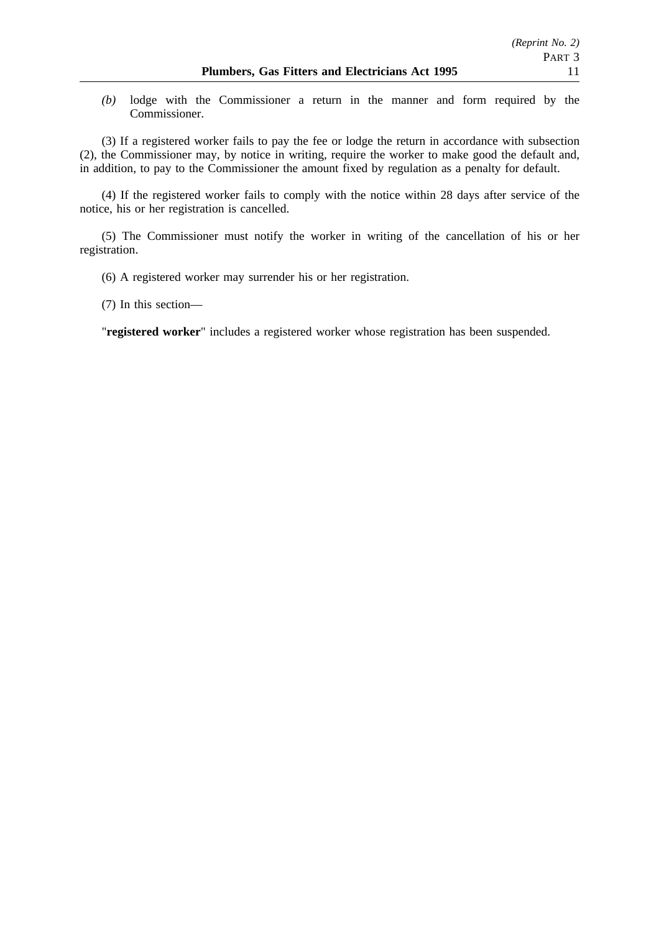*(b)* lodge with the Commissioner a return in the manner and form required by the Commissioner.

(3) If a registered worker fails to pay the fee or lodge the return in accordance with subsection (2), the Commissioner may, by notice in writing, require the worker to make good the default and, in addition, to pay to the Commissioner the amount fixed by regulation as a penalty for default.

(4) If the registered worker fails to comply with the notice within 28 days after service of the notice, his or her registration is cancelled.

(5) The Commissioner must notify the worker in writing of the cancellation of his or her registration.

(6) A registered worker may surrender his or her registration.

(7) In this section—

"**registered worker**" includes a registered worker whose registration has been suspended.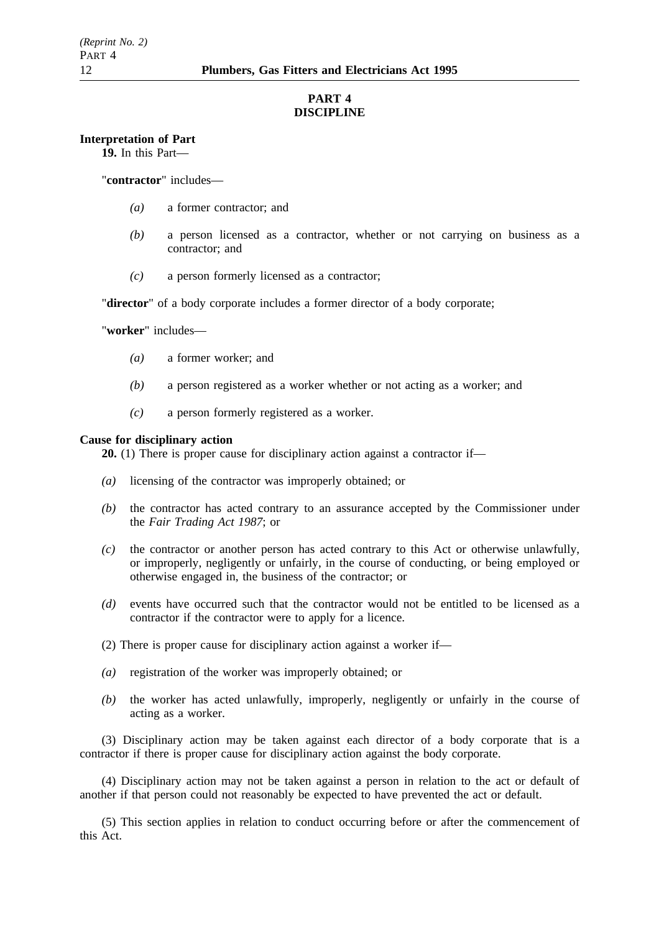# **PART 4 DISCIPLINE**

### **Interpretation of Part**

**19.** In this Part—

"**contractor**" includes—

- *(a)* a former contractor; and
- *(b)* a person licensed as a contractor, whether or not carrying on business as a contractor; and
- *(c)* a person formerly licensed as a contractor;

"**director**" of a body corporate includes a former director of a body corporate;

"**worker**" includes—

- *(a)* a former worker; and
- *(b)* a person registered as a worker whether or not acting as a worker; and
- *(c)* a person formerly registered as a worker.

#### **Cause for disciplinary action**

**20.** (1) There is proper cause for disciplinary action against a contractor if—

- *(a)* licensing of the contractor was improperly obtained; or
- *(b)* the contractor has acted contrary to an assurance accepted by the Commissioner under the *Fair Trading Act 1987*; or
- *(c)* the contractor or another person has acted contrary to this Act or otherwise unlawfully, or improperly, negligently or unfairly, in the course of conducting, or being employed or otherwise engaged in, the business of the contractor; or
- *(d)* events have occurred such that the contractor would not be entitled to be licensed as a contractor if the contractor were to apply for a licence.
- (2) There is proper cause for disciplinary action against a worker if—
- *(a)* registration of the worker was improperly obtained; or
- *(b)* the worker has acted unlawfully, improperly, negligently or unfairly in the course of acting as a worker.

(3) Disciplinary action may be taken against each director of a body corporate that is a contractor if there is proper cause for disciplinary action against the body corporate.

(4) Disciplinary action may not be taken against a person in relation to the act or default of another if that person could not reasonably be expected to have prevented the act or default.

(5) This section applies in relation to conduct occurring before or after the commencement of this Act.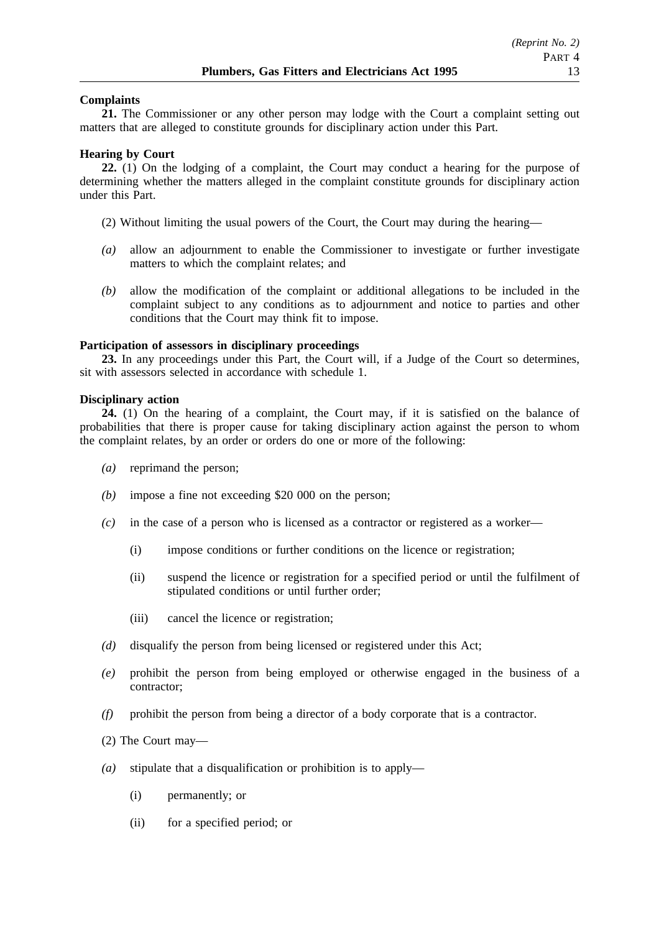## **Complaints**

**21.** The Commissioner or any other person may lodge with the Court a complaint setting out matters that are alleged to constitute grounds for disciplinary action under this Part.

### **Hearing by Court**

**22.** (1) On the lodging of a complaint, the Court may conduct a hearing for the purpose of determining whether the matters alleged in the complaint constitute grounds for disciplinary action under this Part.

- (2) Without limiting the usual powers of the Court, the Court may during the hearing—
- *(a)* allow an adjournment to enable the Commissioner to investigate or further investigate matters to which the complaint relates; and
- *(b)* allow the modification of the complaint or additional allegations to be included in the complaint subject to any conditions as to adjournment and notice to parties and other conditions that the Court may think fit to impose.

## **Participation of assessors in disciplinary proceedings**

**23.** In any proceedings under this Part, the Court will, if a Judge of the Court so determines, sit with assessors selected in accordance with schedule 1.

## **Disciplinary action**

**24.** (1) On the hearing of a complaint, the Court may, if it is satisfied on the balance of probabilities that there is proper cause for taking disciplinary action against the person to whom the complaint relates, by an order or orders do one or more of the following:

- *(a)* reprimand the person;
- *(b)* impose a fine not exceeding \$20 000 on the person;
- *(c)* in the case of a person who is licensed as a contractor or registered as a worker—
	- (i) impose conditions or further conditions on the licence or registration;
	- (ii) suspend the licence or registration for a specified period or until the fulfilment of stipulated conditions or until further order;
	- (iii) cancel the licence or registration;
- *(d)* disqualify the person from being licensed or registered under this Act;
- *(e)* prohibit the person from being employed or otherwise engaged in the business of a contractor;
- *(f)* prohibit the person from being a director of a body corporate that is a contractor.
- (2) The Court may—
- *(a)* stipulate that a disqualification or prohibition is to apply—
	- (i) permanently; or
	- (ii) for a specified period; or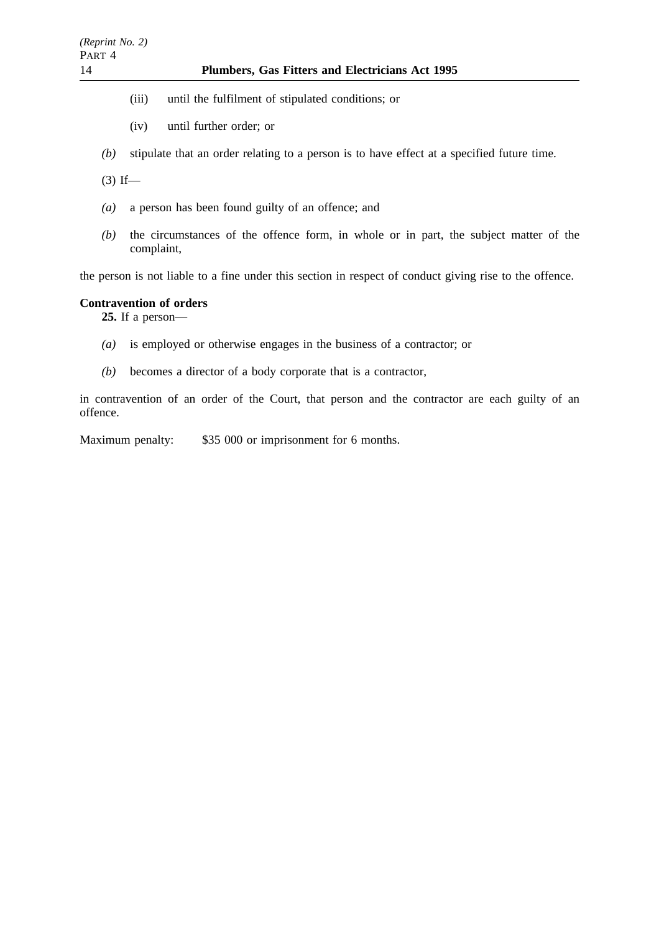- (iii) until the fulfilment of stipulated conditions; or
- (iv) until further order; or
- *(b)* stipulate that an order relating to a person is to have effect at a specified future time.

 $(3)$  If—

- *(a)* a person has been found guilty of an offence; and
- *(b)* the circumstances of the offence form, in whole or in part, the subject matter of the complaint,

the person is not liable to a fine under this section in respect of conduct giving rise to the offence.

## **Contravention of orders**

**25.** If a person—

- *(a)* is employed or otherwise engages in the business of a contractor; or
- *(b)* becomes a director of a body corporate that is a contractor,

in contravention of an order of the Court, that person and the contractor are each guilty of an offence.

Maximum penalty: \$35 000 or imprisonment for 6 months.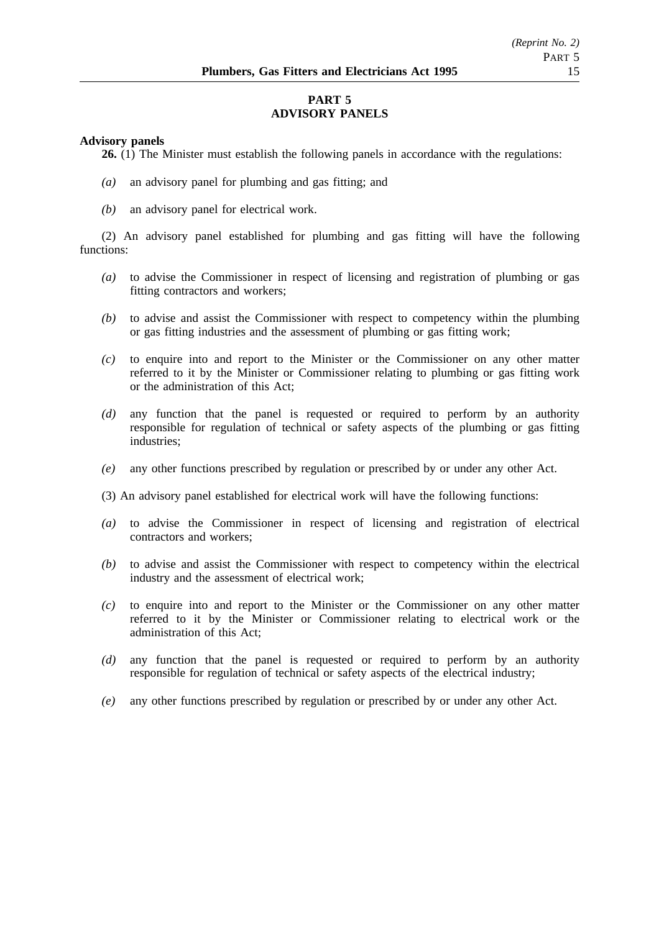# **PART 5 ADVISORY PANELS**

### **Advisory panels**

**26.** (1) The Minister must establish the following panels in accordance with the regulations:

- *(a)* an advisory panel for plumbing and gas fitting; and
- *(b)* an advisory panel for electrical work.

(2) An advisory panel established for plumbing and gas fitting will have the following functions:

- *(a)* to advise the Commissioner in respect of licensing and registration of plumbing or gas fitting contractors and workers;
- *(b)* to advise and assist the Commissioner with respect to competency within the plumbing or gas fitting industries and the assessment of plumbing or gas fitting work;
- *(c)* to enquire into and report to the Minister or the Commissioner on any other matter referred to it by the Minister or Commissioner relating to plumbing or gas fitting work or the administration of this Act;
- *(d)* any function that the panel is requested or required to perform by an authority responsible for regulation of technical or safety aspects of the plumbing or gas fitting industries;
- *(e)* any other functions prescribed by regulation or prescribed by or under any other Act.
- (3) An advisory panel established for electrical work will have the following functions:
- *(a)* to advise the Commissioner in respect of licensing and registration of electrical contractors and workers;
- *(b)* to advise and assist the Commissioner with respect to competency within the electrical industry and the assessment of electrical work;
- *(c)* to enquire into and report to the Minister or the Commissioner on any other matter referred to it by the Minister or Commissioner relating to electrical work or the administration of this Act;
- *(d)* any function that the panel is requested or required to perform by an authority responsible for regulation of technical or safety aspects of the electrical industry;
- *(e)* any other functions prescribed by regulation or prescribed by or under any other Act.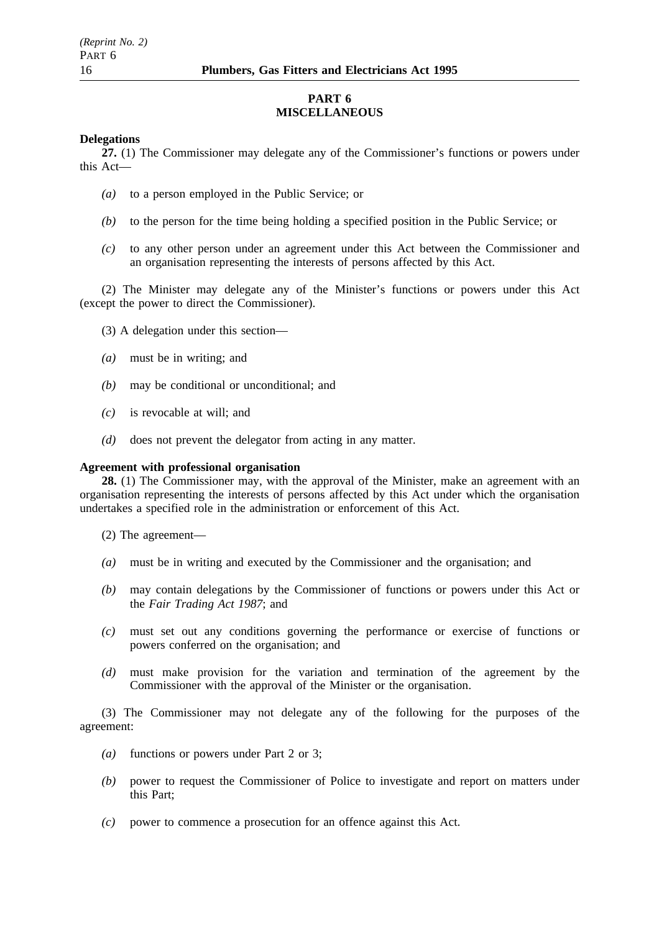## **PART 6 MISCELLANEOUS**

#### **Delegations**

**27.** (1) The Commissioner may delegate any of the Commissioner's functions or powers under this Act—

- *(a)* to a person employed in the Public Service; or
- *(b)* to the person for the time being holding a specified position in the Public Service; or
- *(c)* to any other person under an agreement under this Act between the Commissioner and an organisation representing the interests of persons affected by this Act.

(2) The Minister may delegate any of the Minister's functions or powers under this Act (except the power to direct the Commissioner).

- (3) A delegation under this section—
- *(a)* must be in writing; and
- *(b)* may be conditional or unconditional; and
- *(c)* is revocable at will; and
- *(d)* does not prevent the delegator from acting in any matter.

## **Agreement with professional organisation**

**28.** (1) The Commissioner may, with the approval of the Minister, make an agreement with an organisation representing the interests of persons affected by this Act under which the organisation undertakes a specified role in the administration or enforcement of this Act.

- (2) The agreement—
- *(a)* must be in writing and executed by the Commissioner and the organisation; and
- *(b)* may contain delegations by the Commissioner of functions or powers under this Act or the *Fair Trading Act 1987*; and
- *(c)* must set out any conditions governing the performance or exercise of functions or powers conferred on the organisation; and
- *(d)* must make provision for the variation and termination of the agreement by the Commissioner with the approval of the Minister or the organisation.

(3) The Commissioner may not delegate any of the following for the purposes of the agreement:

- *(a)* functions or powers under Part 2 or 3;
- *(b)* power to request the Commissioner of Police to investigate and report on matters under this Part;
- *(c)* power to commence a prosecution for an offence against this Act.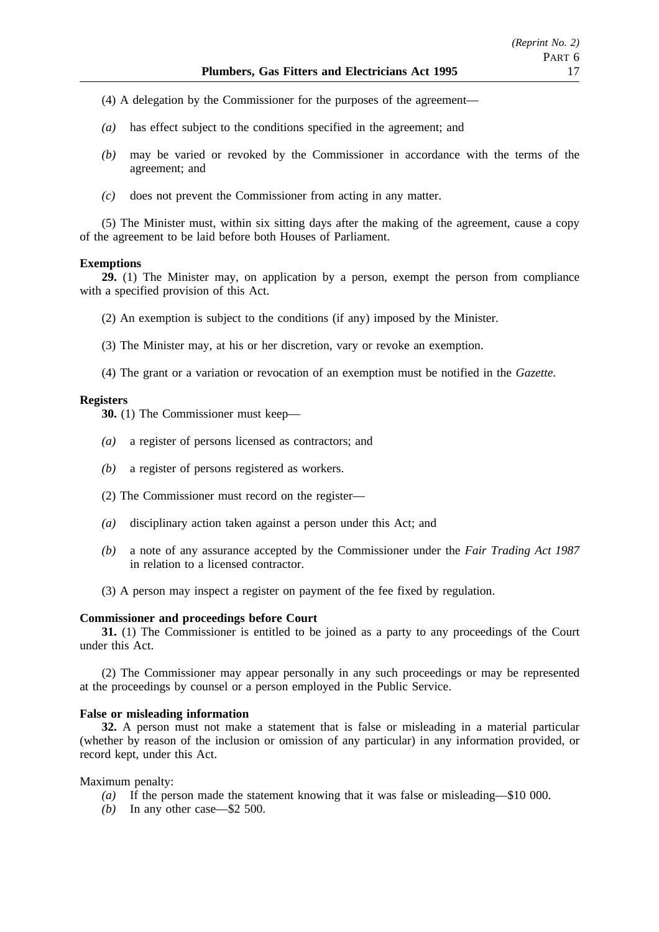- (4) A delegation by the Commissioner for the purposes of the agreement—
- *(a)* has effect subject to the conditions specified in the agreement; and
- *(b)* may be varied or revoked by the Commissioner in accordance with the terms of the agreement; and
- *(c)* does not prevent the Commissioner from acting in any matter.

(5) The Minister must, within six sitting days after the making of the agreement, cause a copy of the agreement to be laid before both Houses of Parliament.

## **Exemptions**

**29.** (1) The Minister may, on application by a person, exempt the person from compliance with a specified provision of this Act.

- (2) An exemption is subject to the conditions (if any) imposed by the Minister.
- (3) The Minister may, at his or her discretion, vary or revoke an exemption.
- (4) The grant or a variation or revocation of an exemption must be notified in the *Gazette*.

## **Registers**

**30.** (1) The Commissioner must keep—

- *(a)* a register of persons licensed as contractors; and
- *(b)* a register of persons registered as workers.
- (2) The Commissioner must record on the register—
- *(a)* disciplinary action taken against a person under this Act; and
- *(b)* a note of any assurance accepted by the Commissioner under the *Fair Trading Act 1987* in relation to a licensed contractor.
- (3) A person may inspect a register on payment of the fee fixed by regulation.

#### **Commissioner and proceedings before Court**

**31.** (1) The Commissioner is entitled to be joined as a party to any proceedings of the Court under this Act.

(2) The Commissioner may appear personally in any such proceedings or may be represented at the proceedings by counsel or a person employed in the Public Service.

### **False or misleading information**

**32.** A person must not make a statement that is false or misleading in a material particular (whether by reason of the inclusion or omission of any particular) in any information provided, or record kept, under this Act.

Maximum penalty:

- *(a)* If the person made the statement knowing that it was false or misleading—\$10 000.
- *(b)* In any other case—\$2 500.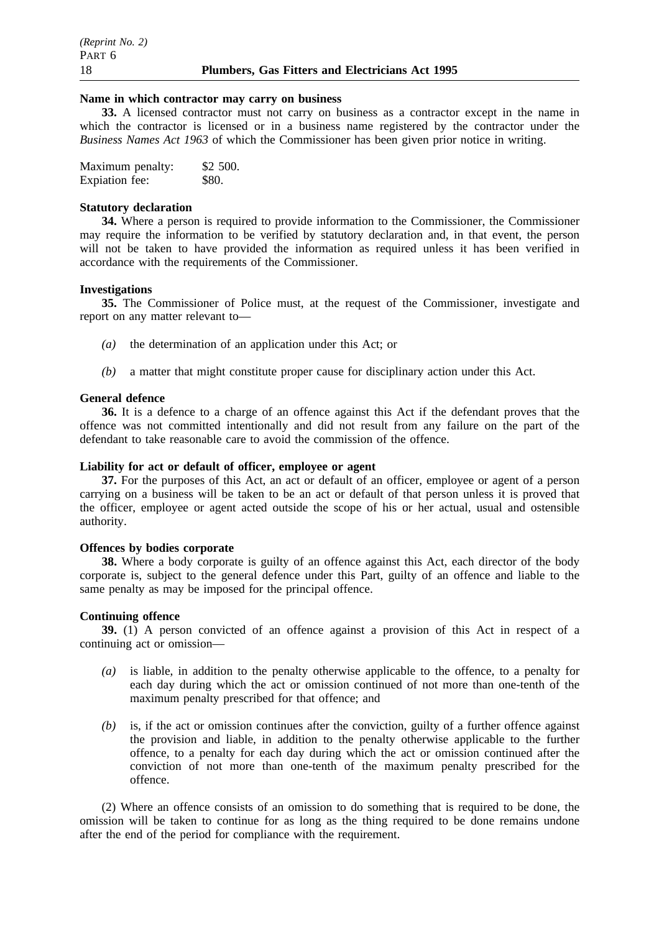#### **Name in which contractor may carry on business**

**33.** A licensed contractor must not carry on business as a contractor except in the name in which the contractor is licensed or in a business name registered by the contractor under the *Business Names Act 1963* of which the Commissioner has been given prior notice in writing.

| Maximum penalty: | \$2 500. |
|------------------|----------|
| Expiation fee:   | \$80.    |

#### **Statutory declaration**

**34.** Where a person is required to provide information to the Commissioner, the Commissioner may require the information to be verified by statutory declaration and, in that event, the person will not be taken to have provided the information as required unless it has been verified in accordance with the requirements of the Commissioner.

#### **Investigations**

**35.** The Commissioner of Police must, at the request of the Commissioner, investigate and report on any matter relevant to—

- *(a)* the determination of an application under this Act; or
- *(b)* a matter that might constitute proper cause for disciplinary action under this Act.

#### **General defence**

**36.** It is a defence to a charge of an offence against this Act if the defendant proves that the offence was not committed intentionally and did not result from any failure on the part of the defendant to take reasonable care to avoid the commission of the offence.

# **Liability for act or default of officer, employee or agent**

**37.** For the purposes of this Act, an act or default of an officer, employee or agent of a person carrying on a business will be taken to be an act or default of that person unless it is proved that the officer, employee or agent acted outside the scope of his or her actual, usual and ostensible authority.

#### **Offences by bodies corporate**

**38.** Where a body corporate is guilty of an offence against this Act, each director of the body corporate is, subject to the general defence under this Part, guilty of an offence and liable to the same penalty as may be imposed for the principal offence.

### **Continuing offence**

**39.** (1) A person convicted of an offence against a provision of this Act in respect of a continuing act or omission—

- *(a)* is liable, in addition to the penalty otherwise applicable to the offence, to a penalty for each day during which the act or omission continued of not more than one-tenth of the maximum penalty prescribed for that offence; and
- *(b)* is, if the act or omission continues after the conviction, guilty of a further offence against the provision and liable, in addition to the penalty otherwise applicable to the further offence, to a penalty for each day during which the act or omission continued after the conviction of not more than one-tenth of the maximum penalty prescribed for the offence.

(2) Where an offence consists of an omission to do something that is required to be done, the omission will be taken to continue for as long as the thing required to be done remains undone after the end of the period for compliance with the requirement.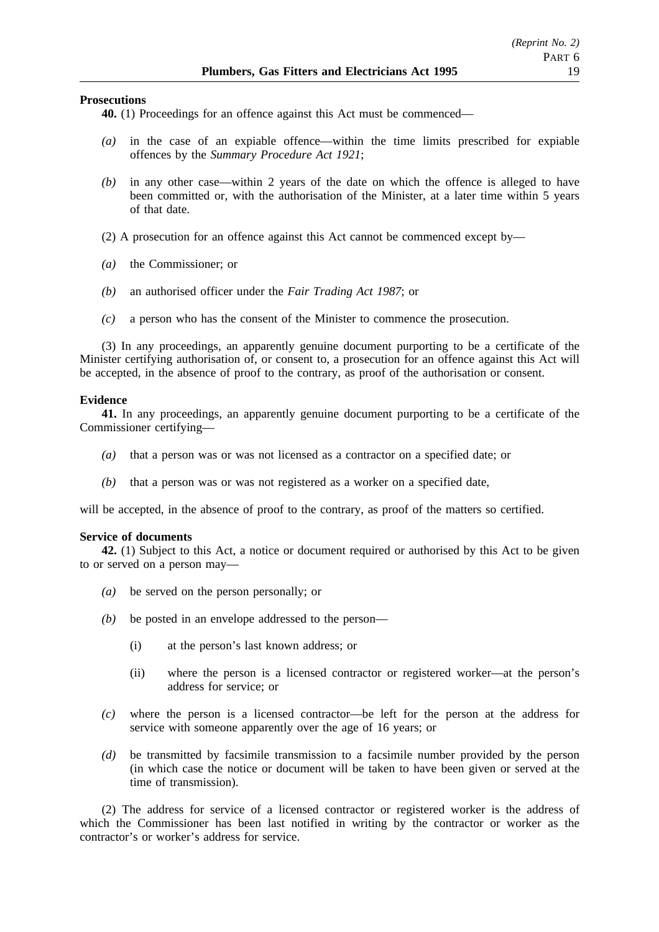#### **Prosecutions**

**40.** (1) Proceedings for an offence against this Act must be commenced—

- *(a)* in the case of an expiable offence—within the time limits prescribed for expiable offences by the *Summary Procedure Act 1921*;
- *(b)* in any other case—within 2 years of the date on which the offence is alleged to have been committed or, with the authorisation of the Minister, at a later time within 5 years of that date.
- (2) A prosecution for an offence against this Act cannot be commenced except by—
- *(a)* the Commissioner; or
- *(b)* an authorised officer under the *Fair Trading Act 1987*; or
- *(c)* a person who has the consent of the Minister to commence the prosecution.

(3) In any proceedings, an apparently genuine document purporting to be a certificate of the Minister certifying authorisation of, or consent to, a prosecution for an offence against this Act will be accepted, in the absence of proof to the contrary, as proof of the authorisation or consent.

#### **Evidence**

**41.** In any proceedings, an apparently genuine document purporting to be a certificate of the Commissioner certifying—

- *(a)* that a person was or was not licensed as a contractor on a specified date; or
- *(b)* that a person was or was not registered as a worker on a specified date,

will be accepted, in the absence of proof to the contrary, as proof of the matters so certified.

#### **Service of documents**

**42.** (1) Subject to this Act, a notice or document required or authorised by this Act to be given to or served on a person may—

- *(a)* be served on the person personally; or
- *(b)* be posted in an envelope addressed to the person—
	- (i) at the person's last known address; or
	- (ii) where the person is a licensed contractor or registered worker—at the person's address for service; or
- *(c)* where the person is a licensed contractor—be left for the person at the address for service with someone apparently over the age of 16 years; or
- *(d)* be transmitted by facsimile transmission to a facsimile number provided by the person (in which case the notice or document will be taken to have been given or served at the time of transmission).

(2) The address for service of a licensed contractor or registered worker is the address of which the Commissioner has been last notified in writing by the contractor or worker as the contractor's or worker's address for service.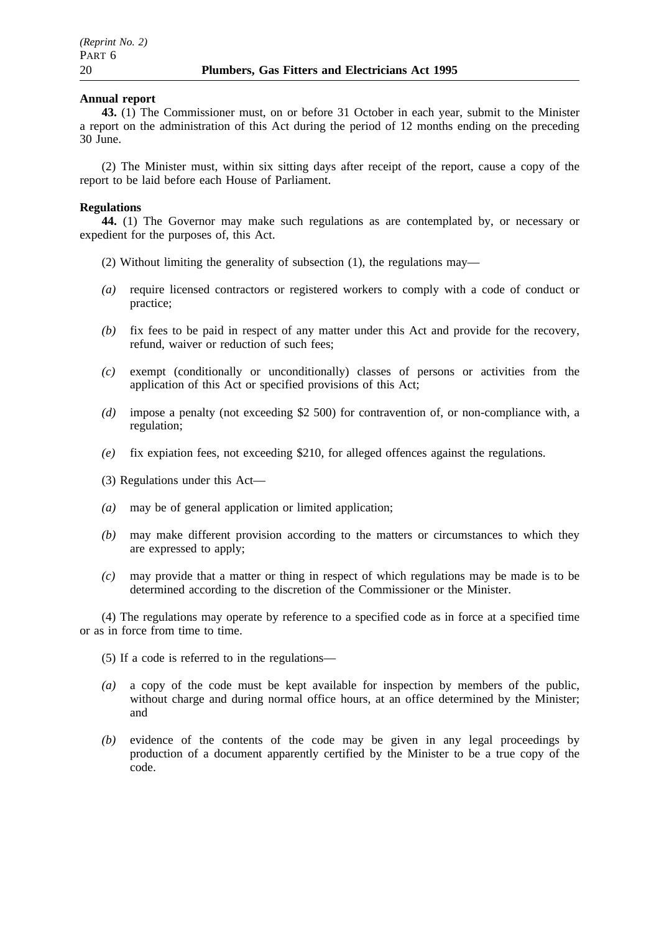#### **Annual report**

**43.** (1) The Commissioner must, on or before 31 October in each year, submit to the Minister a report on the administration of this Act during the period of 12 months ending on the preceding 30 June.

(2) The Minister must, within six sitting days after receipt of the report, cause a copy of the report to be laid before each House of Parliament.

#### **Regulations**

**44.** (1) The Governor may make such regulations as are contemplated by, or necessary or expedient for the purposes of, this Act.

- (2) Without limiting the generality of subsection (1), the regulations may—
- *(a)* require licensed contractors or registered workers to comply with a code of conduct or practice;
- *(b)* fix fees to be paid in respect of any matter under this Act and provide for the recovery, refund, waiver or reduction of such fees;
- *(c)* exempt (conditionally or unconditionally) classes of persons or activities from the application of this Act or specified provisions of this Act;
- *(d)* impose a penalty (not exceeding \$2 500) for contravention of, or non-compliance with, a regulation;
- *(e)* fix expiation fees, not exceeding \$210, for alleged offences against the regulations.
- (3) Regulations under this Act—
- *(a)* may be of general application or limited application;
- *(b)* may make different provision according to the matters or circumstances to which they are expressed to apply;
- *(c)* may provide that a matter or thing in respect of which regulations may be made is to be determined according to the discretion of the Commissioner or the Minister.

(4) The regulations may operate by reference to a specified code as in force at a specified time or as in force from time to time.

(5) If a code is referred to in the regulations—

- *(a)* a copy of the code must be kept available for inspection by members of the public, without charge and during normal office hours, at an office determined by the Minister; and
- *(b)* evidence of the contents of the code may be given in any legal proceedings by production of a document apparently certified by the Minister to be a true copy of the code.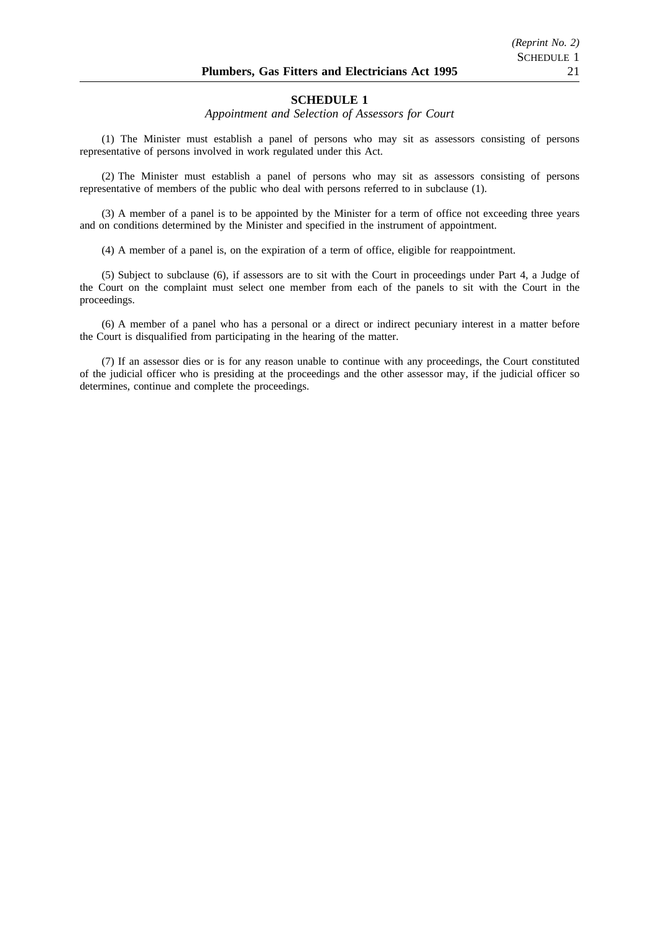#### **SCHEDULE 1**

#### *Appointment and Selection of Assessors for Court*

(1) The Minister must establish a panel of persons who may sit as assessors consisting of persons representative of persons involved in work regulated under this Act.

(2) The Minister must establish a panel of persons who may sit as assessors consisting of persons representative of members of the public who deal with persons referred to in subclause (1).

(3) A member of a panel is to be appointed by the Minister for a term of office not exceeding three years and on conditions determined by the Minister and specified in the instrument of appointment.

(4) A member of a panel is, on the expiration of a term of office, eligible for reappointment.

(5) Subject to subclause (6), if assessors are to sit with the Court in proceedings under Part 4, a Judge of the Court on the complaint must select one member from each of the panels to sit with the Court in the proceedings.

(6) A member of a panel who has a personal or a direct or indirect pecuniary interest in a matter before the Court is disqualified from participating in the hearing of the matter.

(7) If an assessor dies or is for any reason unable to continue with any proceedings, the Court constituted of the judicial officer who is presiding at the proceedings and the other assessor may, if the judicial officer so determines, continue and complete the proceedings.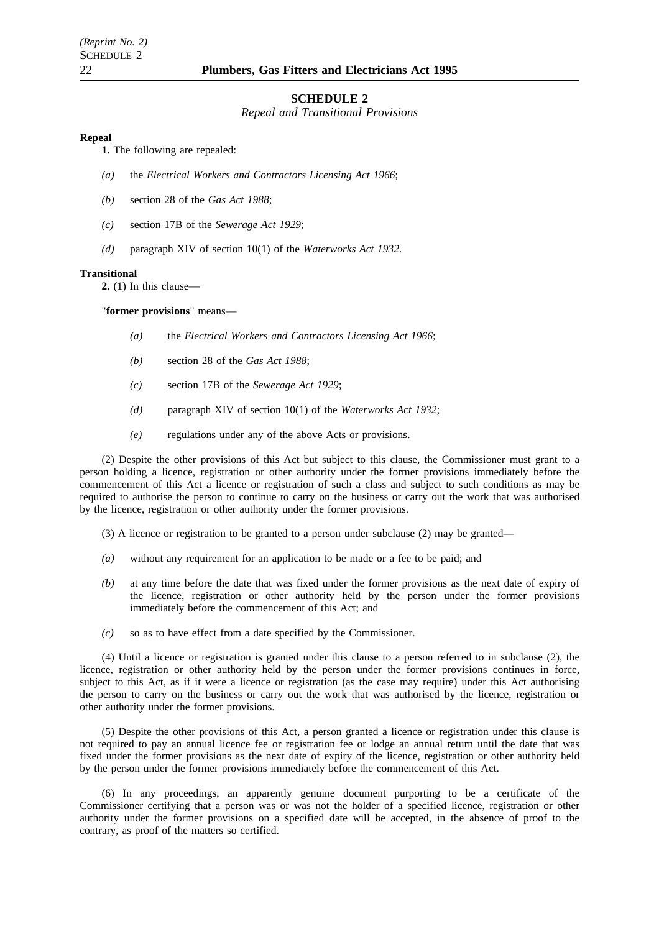#### **SCHEDULE 2**

*Repeal and Transitional Provisions*

#### **Repeal**

**1.** The following are repealed:

- *(a)* the *Electrical Workers and Contractors Licensing Act 1966*;
- *(b)* section 28 of the *Gas Act 1988*;
- *(c)* section 17B of the *Sewerage Act 1929*;
- *(d)* paragraph XIV of section 10(1) of the *Waterworks Act 1932*.

#### **Transitional**

**2.** (1) In this clause—

"**former provisions**" means—

- *(a)* the *Electrical Workers and Contractors Licensing Act 1966*;
- *(b)* section 28 of the *Gas Act 1988*;
- *(c)* section 17B of the *Sewerage Act 1929*;
- *(d)* paragraph XIV of section 10(1) of the *Waterworks Act 1932*;
- *(e)* regulations under any of the above Acts or provisions.

(2) Despite the other provisions of this Act but subject to this clause, the Commissioner must grant to a person holding a licence, registration or other authority under the former provisions immediately before the commencement of this Act a licence or registration of such a class and subject to such conditions as may be required to authorise the person to continue to carry on the business or carry out the work that was authorised by the licence, registration or other authority under the former provisions.

- $(3)$  A licence or registration to be granted to a person under subclause  $(2)$  may be granted—
- *(a)* without any requirement for an application to be made or a fee to be paid; and
- *(b)* at any time before the date that was fixed under the former provisions as the next date of expiry of the licence, registration or other authority held by the person under the former provisions immediately before the commencement of this Act; and
- *(c)* so as to have effect from a date specified by the Commissioner.

(4) Until a licence or registration is granted under this clause to a person referred to in subclause (2), the licence, registration or other authority held by the person under the former provisions continues in force, subject to this Act, as if it were a licence or registration (as the case may require) under this Act authorising the person to carry on the business or carry out the work that was authorised by the licence, registration or other authority under the former provisions.

(5) Despite the other provisions of this Act, a person granted a licence or registration under this clause is not required to pay an annual licence fee or registration fee or lodge an annual return until the date that was fixed under the former provisions as the next date of expiry of the licence, registration or other authority held by the person under the former provisions immediately before the commencement of this Act.

(6) In any proceedings, an apparently genuine document purporting to be a certificate of the Commissioner certifying that a person was or was not the holder of a specified licence, registration or other authority under the former provisions on a specified date will be accepted, in the absence of proof to the contrary, as proof of the matters so certified.